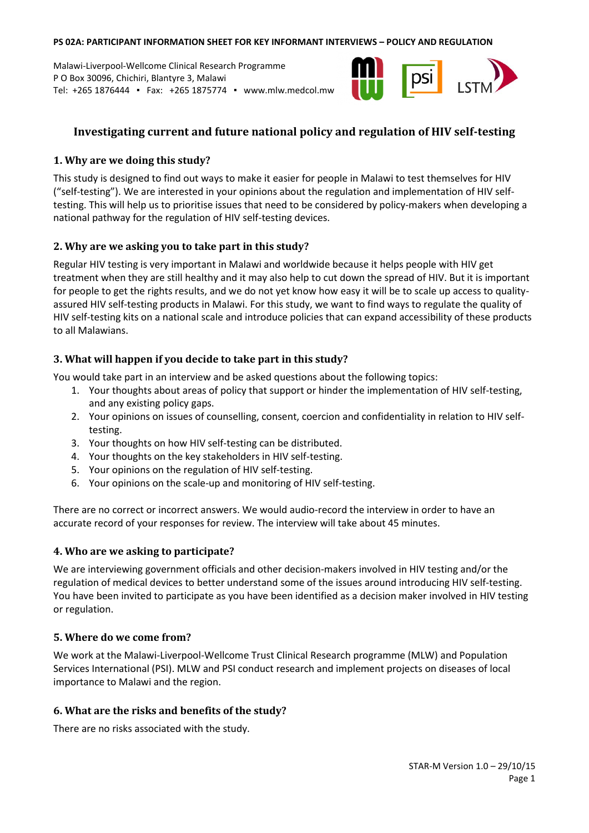#### **PS 02A: PARTICIPANT INFORMATION SHEET FOR KEY INFORMANT INTERVIEWS – POLICY AND REGULATION**

Malawi-Liverpool-Wellcome Clinical Research Programme P O Box 30096, Chichiri, Blantyre 3, Malawi Tel: +265 1876444 ▪ Fax: +265 1875774 ▪ www.mlw.medcol.mw



# **Investigating current and future national policy and regulation of HIV self-testing**

## **1. Why are we doing this study?**

This study is designed to find out ways to make it easier for people in Malawi to test themselves for HIV ("self-testing"). We are interested in your opinions about the regulation and implementation of HIV selftesting. This will help us to prioritise issues that need to be considered by policy-makers when developing a national pathway for the regulation of HIV self-testing devices.

## **2. Why are we asking you to take part in this study?**

Regular HIV testing is very important in Malawi and worldwide because it helps people with HIV get treatment when they are still healthy and it may also help to cut down the spread of HIV. But it is important for people to get the rights results, and we do not yet know how easy it will be to scale up access to qualityassured HIV self-testing products in Malawi. For this study, we want to find ways to regulate the quality of HIV self-testing kits on a national scale and introduce policies that can expand accessibility of these products to all Malawians.

## **3. What will happen if you decide to take part in this study?**

You would take part in an interview and be asked questions about the following topics:

- 1. Your thoughts about areas of policy that support or hinder the implementation of HIV self-testing, and any existing policy gaps.
- 2. Your opinions on issues of counselling, consent, coercion and confidentiality in relation to HIV selftesting.
- 3. Your thoughts on how HIV self-testing can be distributed.
- 4. Your thoughts on the key stakeholders in HIV self-testing.
- 5. Your opinions on the regulation of HIV self-testing.
- 6. Your opinions on the scale-up and monitoring of HIV self-testing.

There are no correct or incorrect answers. We would audio-record the interview in order to have an accurate record of your responses for review. The interview will take about 45 minutes.

### **4. Who are we asking to participate?**

We are interviewing government officials and other decision-makers involved in HIV testing and/or the regulation of medical devices to better understand some of the issues around introducing HIV self-testing. You have been invited to participate as you have been identified as a decision maker involved in HIV testing or regulation.

### **5. Where do we come from?**

We work at the Malawi-Liverpool-Wellcome Trust Clinical Research programme (MLW) and Population Services International (PSI). MLW and PSI conduct research and implement projects on diseases of local importance to Malawi and the region.

### **6. What are the risks and benefits of the study?**

There are no risks associated with the study.